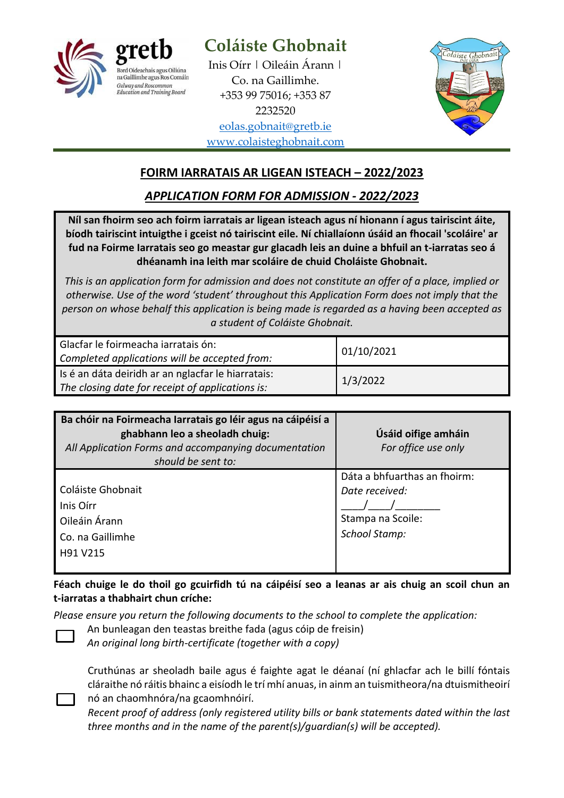

# **Coláiste Ghobnait**

Inis Oírr | Oileáin Árann | Co. na Gaillimhe. +353 99 75016; +353 87 2232520 [eolas.gobnait@gretb.ie](mailto:eolas.gobnait@gretb.ie) [www.colaisteghobnait.com](http://www.colaisteghobnait.com/)



# **FOIRM IARRATAIS AR LIGEAN ISTEACH – 2022/2023**

*APPLICATION FORM FOR ADMISSION - 2022/2023*

**Níl san fhoirm seo ach foirm iarratais ar ligean isteach agus ní hionann í agus tairiscint áite, bíodh tairiscint intuigthe i gceist nó tairiscint eile. Ní chiallaíonn úsáid an fhocail 'scoláire' ar fud na Foirme Iarratais seo go meastar gur glacadh leis an duine a bhfuil an t-iarratas seo á dhéanamh ina leith mar scoláire de chuid Choláiste Ghobnait.**

*This is an application form for admission and does not constitute an offer of a place, implied or otherwise. Use of the word 'student' throughout this Application Form does not imply that the person on whose behalf this application is being made is regarded as a having been accepted as a student of Coláiste Ghobnait.*

| Glacfar le foirmeacha iarratais ón:<br>Completed applications will be accepted from:                   | 01/10/2021 |
|--------------------------------------------------------------------------------------------------------|------------|
| Is é an dáta deiridh ar an nglacfar le hiarratais:<br>The closing date for receipt of applications is: | 1/3/2022   |

| Ba chóir na Foirmeacha Iarratais go léir agus na cáipéisí a<br>ghabhann leo a sheoladh chuig:<br>All Application Forms and accompanying documentation<br>should be sent to: | Úsáid oifige amháin<br>For office use only                                                  |
|-----------------------------------------------------------------------------------------------------------------------------------------------------------------------------|---------------------------------------------------------------------------------------------|
| Coláiste Ghobnait<br>Inis Oirr<br>Oileáin Árann<br>Co. na Gaillimhe<br>H91 V215                                                                                             | Dáta a bhfuarthas an fhoirm:<br>Date received:<br>Stampa na Scoile:<br><b>School Stamp:</b> |

**Féach chuige le do thoil go gcuirfidh tú na cáipéisí seo a leanas ar ais chuig an scoil chun an t-iarratas a thabhairt chun críche:** 

*Please ensure you return the following documents to the school to complete the application:*



An bunleagan den teastas breithe fada (agus cóip de freisin) *An original long birth-certificate (together with a copy)*

Cruthúnas ar sheoladh baile agus é faighte agat le déanaí (ní ghlacfar ach le billí fóntais cláraithe nó ráitis bhainc a eisíodh le trí mhí anuas, in ainm an tuismitheora/na dtuismitheoirí nó an chaomhnóra/na gcaomhnóirí.

*Recent proof of address (only registered utility bills or bank statements dated within the last three months and in the name of the parent(s)/guardian(s) will be accepted).*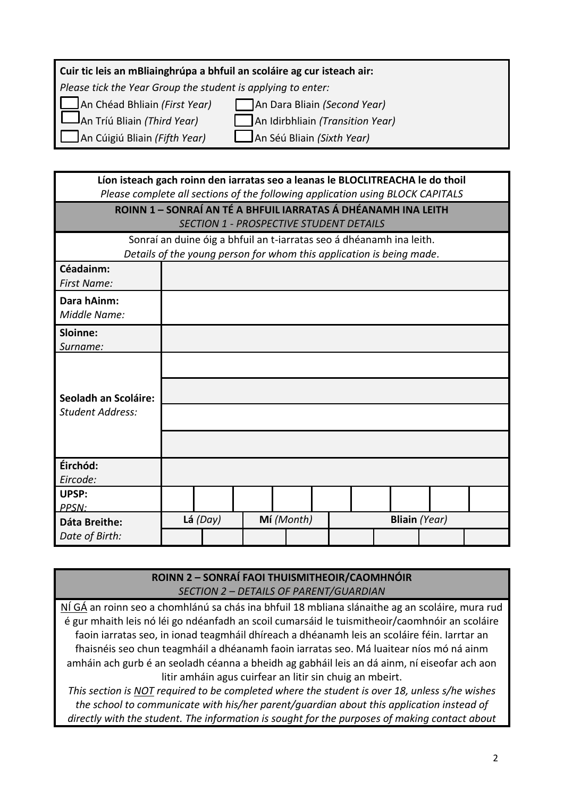#### **Cuir tic leis an mBliainghrúpa a bhfuil an scoláire ag cur isteach air:**

*Please tick the Year Group the student is applying to enter:*

An Chéad Bhliain *(First Year)* An Dara Bliain *(Second Year)*

An Tríú Bliain *(Third Year)* An Idirbhliain *(Transition Year)*

An Cúigiú Bliain *(Fifth Year)* An Séú Bliain *(Sixth Year)*

| Líon isteach gach roinn den iarratas seo a leanas le BLOCLITREACHA le do thoil<br>Please complete all sections of the following application using BLOCK CAPITALS |            |            |  |                      |  |
|------------------------------------------------------------------------------------------------------------------------------------------------------------------|------------|------------|--|----------------------|--|
| ROINN 1 - SONRAÍ AN TÉ A BHFUIL IARRATAS Á DHÉANAMH INA LEITH<br><b>SECTION 1 - PROSPECTIVE STUDENT DETAILS</b>                                                  |            |            |  |                      |  |
| Sonraí an duine óig a bhfuil an t-iarratas seo á dhéanamh ina leith.<br>Details of the young person for whom this application is being made.                     |            |            |  |                      |  |
| Céadainm:<br><b>First Name:</b>                                                                                                                                  |            |            |  |                      |  |
| Dara hAinm:<br>Middle Name:                                                                                                                                      |            |            |  |                      |  |
| Sloinne:<br>Surname:                                                                                                                                             |            |            |  |                      |  |
| Seoladh an Scoláire:<br><b>Student Address:</b>                                                                                                                  |            |            |  |                      |  |
| Éirchód:<br>Eircode:                                                                                                                                             |            |            |  |                      |  |
| UPSP:<br>PPSN:                                                                                                                                                   |            |            |  |                      |  |
| <b>Dáta Breithe:</b><br>Date of Birth:                                                                                                                           | Lá $(Day)$ | Mí (Month) |  | <b>Bliain</b> (Year) |  |

### **ROINN 2 – SONRAÍ FAOI THUISMITHEOIR/CAOMHNÓIR** *SECTION 2 – DETAILS OF PARENT/GUARDIAN*

NÍ GÁ an roinn seo a chomhlánú sa chás ina bhfuil 18 mbliana slánaithe ag an scoláire, mura rud é gur mhaith leis nó léi go ndéanfadh an scoil cumarsáid le tuismitheoir/caomhnóir an scoláire faoin iarratas seo, in ionad teagmháil dhíreach a dhéanamh leis an scoláire féin. Iarrtar an fhaisnéis seo chun teagmháil a dhéanamh faoin iarratas seo. Má luaitear níos mó ná ainm amháin ach gurb é an seoladh céanna a bheidh ag gabháil leis an dá ainm, ní eiseofar ach aon litir amháin agus cuirfear an litir sin chuig an mbeirt.

*This section is NOT required to be completed where the student is over 18, unless s/he wishes the school to communicate with his/her parent/guardian about this application instead of directly with the student. The information is sought for the purposes of making contact about*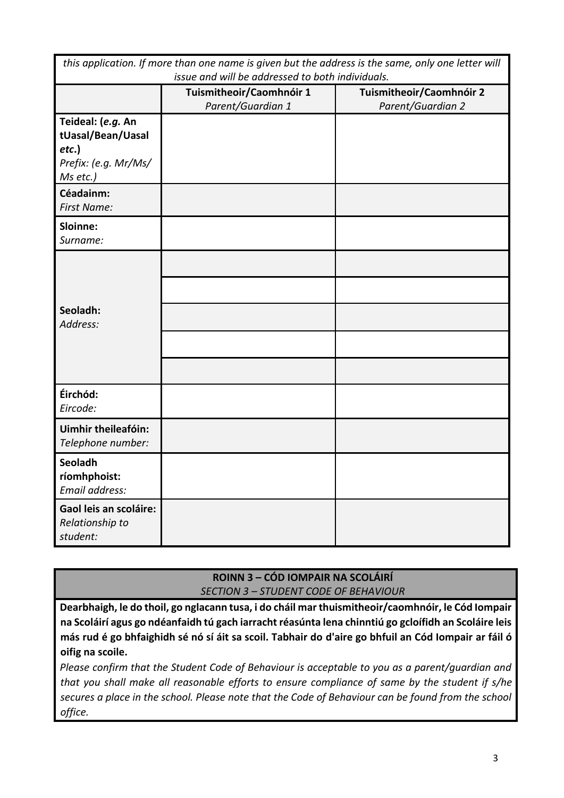| this application. If more than one name is given but the address is the same, only one letter will<br>issue and will be addressed to both individuals. |                                               |                                               |  |
|--------------------------------------------------------------------------------------------------------------------------------------------------------|-----------------------------------------------|-----------------------------------------------|--|
|                                                                                                                                                        | Tuismitheoir/Caomhnóir 1<br>Parent/Guardian 1 | Tuismitheoir/Caomhnóir 2<br>Parent/Guardian 2 |  |
| Teideal: (e.g. An<br>tUasal/Bean/Uasal<br>$etc.$ )<br>Prefix: (e.g. Mr/Ms/<br>Ms etc.)                                                                 |                                               |                                               |  |
| Céadainm:<br><b>First Name:</b>                                                                                                                        |                                               |                                               |  |
| Sloinne:<br>Surname:                                                                                                                                   |                                               |                                               |  |
| Seoladh:<br>Address:                                                                                                                                   |                                               |                                               |  |
| Éirchód:<br>Eircode:                                                                                                                                   |                                               |                                               |  |
| <b>Uimhir theileafóin:</b><br>Telephone number:                                                                                                        |                                               |                                               |  |
| <b>Seoladh</b><br>ríomhphoist:<br>Email address:                                                                                                       |                                               |                                               |  |
| Gaol leis an scoláire:<br>Relationship to<br>student:                                                                                                  |                                               |                                               |  |

**ROINN 3 – CÓD IOMPAIR NA SCOLÁIRÍ** *SECTION 3 – STUDENT CODE OF BEHAVIOUR*

**Dearbhaigh, le do thoil, go nglacann tusa, i do cháil mar thuismitheoir/caomhnóir, le Cód Iompair na Scoláirí agus go ndéanfaidh tú gach iarracht réasúnta lena chinntiú go gcloífidh an Scoláire leis más rud é go bhfaighidh sé nó sí áit sa scoil. Tabhair do d'aire go bhfuil an Cód Iompair ar fáil ó oifig na scoile.**

*Please confirm that the Student Code of Behaviour is acceptable to you as a parent/guardian and that you shall make all reasonable efforts to ensure compliance of same by the student if s/he secures a place in the school. Please note that the Code of Behaviour can be found from the school office.*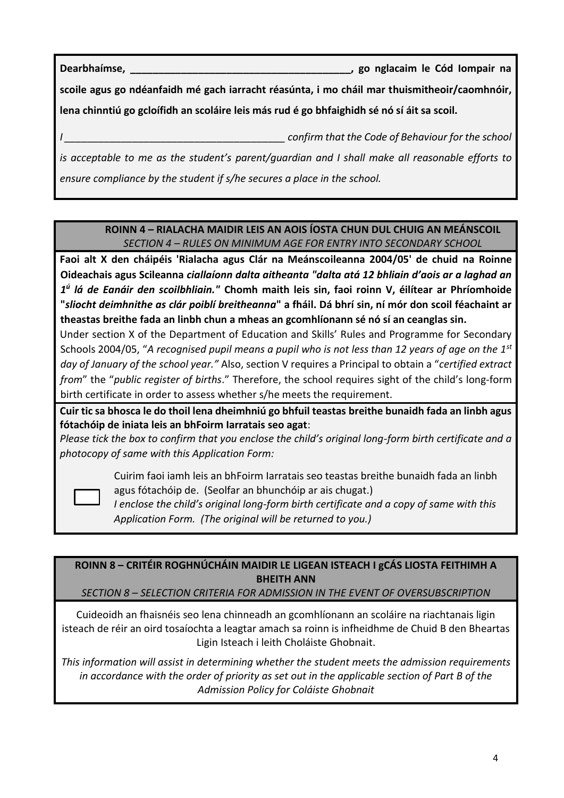**Dearbhaímse, \_\_\_\_\_\_\_\_\_\_\_\_\_\_\_\_\_\_\_\_\_\_\_\_\_\_\_\_\_\_\_\_\_\_\_\_\_\_\_, go nglacaim le Cód Iompair na** 

**scoile agus go ndéanfaidh mé gach iarracht réasúnta, i mo cháil mar thuismitheoir/caomhnóir, lena chinntiú go gcloífidh an scoláire leis más rud é go bhfaighidh sé nó sí áit sa scoil.**

*I \_\_\_\_\_\_\_\_\_\_\_\_\_\_\_\_\_\_\_\_\_\_\_\_\_\_\_\_\_\_\_\_\_\_\_\_\_\_\_ confirm that the Code of Behaviour for the school* 

*is acceptable to me as the student's parent/guardian and I shall make all reasonable efforts to ensure compliance by the student if s/he secures a place in the school.*

### **ROINN 4 – RIALACHA MAIDIR LEIS AN AOIS ÍOSTA CHUN DUL CHUIG AN MEÁNSCOIL** *SECTION 4 – RULES ON MINIMUM AGE FOR ENTRY INTO SECONDARY SCHOOL*

**Faoi alt X den cháipéis 'Rialacha agus Clár na Meánscoileanna 2004/05' de chuid na Roinne Oideachais agus Scileanna** *ciallaíonn dalta aitheanta "dalta atá 12 bhliain d'aois ar a laghad an 1 ú lá de Eanáir den scoilbhliain."* **Chomh maith leis sin, faoi roinn V, éilítear ar Phríomhoide "***sliocht deimhnithe as clár poiblí breitheanna***" a fháil. Dá bhrí sin, ní mór don scoil féachaint ar theastas breithe fada an linbh chun a mheas an gcomhlíonann sé nó sí an ceanglas sin.**

Under section X of the Department of Education and Skills' Rules and Programme for Secondary Schools 2004/05, "*A recognised pupil means a pupil who is not less than 12 years of age on the 1st day of January of the school year."* Also, section V requires a Principal to obtain a "*certified extract from*" the "*public register of births*." Therefore, the school requires sight of the child's long-form birth certificate in order to assess whether s/he meets the requirement.

**Cuir tic sa bhosca le do thoil lena dheimhniú go bhfuil teastas breithe bunaidh fada an linbh agus fótachóip de iniata leis an bhFoirm Iarratais seo agat**:

*Please tick the box to confirm that you enclose the child's original long-form birth certificate and a photocopy of same with this Application Form:*



Cuirim faoi iamh leis an bhFoirm Iarratais seo teastas breithe bunaidh fada an linbh agus fótachóip de. (Seolfar an bhunchóip ar ais chugat.)

*I enclose the child's original long-form birth certificate and a copy of same with this Application Form. (The original will be returned to you.)*

**ROINN 8 – CRITÉIR ROGHNÚCHÁIN MAIDIR LE LIGEAN ISTEACH I gCÁS LIOSTA FEITHIMH A BHEITH ANN**

*SECTION 8 – SELECTION CRITERIA FOR ADMISSION IN THE EVENT OF OVERSUBSCRIPTION*

Cuideoidh an fhaisnéis seo lena chinneadh an gcomhlíonann an scoláire na riachtanais ligin isteach de réir an oird tosaíochta a leagtar amach sa roinn is infheidhme de Chuid B den Bheartas Ligin Isteach i leith Choláiste Ghobnait.

*This information will assist in determining whether the student meets the admission requirements in accordance with the order of priority as set out in the applicable section of Part B of the Admission Policy for Coláiste Ghobnait*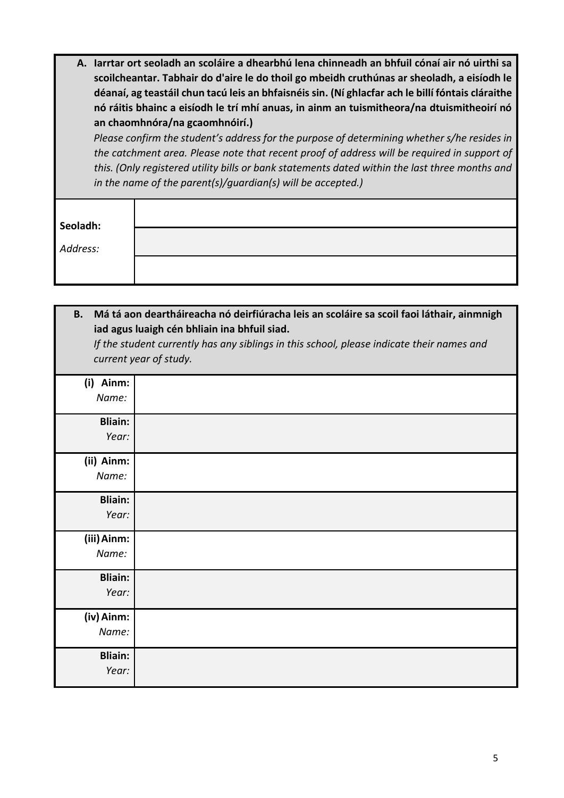| A. Iarrtar ort seoladh an scoláire a dhearbhú lena chinneadh an bhfuil cónaí air nó uirthi sa     |
|---------------------------------------------------------------------------------------------------|
| scoilcheantar. Tabhair do d'aire le do thoil go mbeidh cruthúnas ar sheoladh, a eisíodh le        |
| déanaí, ag teastáil chun tacú leis an bhfaisnéis sin. (Ní ghlacfar ach le billí fóntais cláraithe |
| nó ráitis bhainc a eisíodh le trí mhí anuas, in ainm an tuismitheora/na dtuismitheoirí nó         |
| an chaomhnóra/na gcaomhnóirí.)                                                                    |

*Please confirm the student's address for the purpose of determining whether s/he resides in the catchment area. Please note that recent proof of address will be required in support of this. (Only registered utility bills or bank statements dated within the last three months and in the name of the parent(s)/guardian(s) will be accepted.)*

| Seoladh: |
|----------|
| Address: |
|          |
|          |

| В.                      | Má tá aon deartháireacha nó deirfiúracha leis an scoláire sa scoil faoi láthair, ainmnigh<br>iad agus luaigh cén bhliain ina bhfuil siad.<br>If the student currently has any siblings in this school, please indicate their names and<br>current year of study. |
|-------------------------|------------------------------------------------------------------------------------------------------------------------------------------------------------------------------------------------------------------------------------------------------------------|
| (i) Ainm:<br>Name:      |                                                                                                                                                                                                                                                                  |
| <b>Bliain:</b><br>Year: |                                                                                                                                                                                                                                                                  |
| (ii) Ainm:<br>Name:     |                                                                                                                                                                                                                                                                  |
| <b>Bliain:</b><br>Year: |                                                                                                                                                                                                                                                                  |
| (iii) Ainm:<br>Name:    |                                                                                                                                                                                                                                                                  |
| <b>Bliain:</b><br>Year: |                                                                                                                                                                                                                                                                  |
| (iv) Ainm:<br>Name:     |                                                                                                                                                                                                                                                                  |
| <b>Bliain:</b><br>Year: |                                                                                                                                                                                                                                                                  |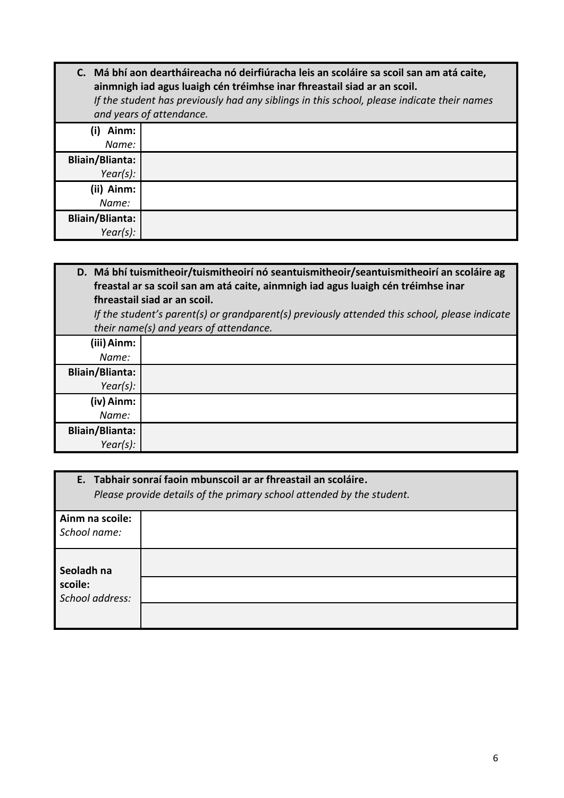|                                       | C. Má bhí aon deartháireacha nó deirfiúracha leis an scoláire sa scoil san am atá caite,<br>ainmnigh iad agus luaigh cén tréimhse inar fhreastail siad ar an scoil.<br>If the student has previously had any siblings in this school, please indicate their names<br>and years of attendance. |
|---------------------------------------|-----------------------------------------------------------------------------------------------------------------------------------------------------------------------------------------------------------------------------------------------------------------------------------------------|
| Ainm:<br>Name:                        |                                                                                                                                                                                                                                                                                               |
| <b>Bliain/Blianta:</b><br>Year(s):    |                                                                                                                                                                                                                                                                                               |
| (ii) Ainm:<br>Name:                   |                                                                                                                                                                                                                                                                                               |
| <b>Bliain/Blianta:</b><br>$Year(s)$ : |                                                                                                                                                                                                                                                                                               |

**D. Má bhí tuismitheoir/tuismitheoirí nó seantuismitheoir/seantuismitheoirí an scoláire ag freastal ar sa scoil san am atá caite, ainmnigh iad agus luaigh cén tréimhse inar fhreastail siad ar an scoil.**  *If the student's parent(s) or grandparent(s) previously attended this school, please indicate their name(s) and years of attendance.* **(iii)Ainm:** *Name:* **Bliain/Blianta:** *Year(s):* **(iv) Ainm:** *Name:* **Bliain/Blianta:** *Year(s):*

|                            | E. Tabhair sonraí faoin mbunscoil ar ar fhreastail an scoláire.<br>Please provide details of the primary school attended by the student. |
|----------------------------|------------------------------------------------------------------------------------------------------------------------------------------|
| Ainm na scoile:            |                                                                                                                                          |
| School name:               |                                                                                                                                          |
| Seoladh na                 |                                                                                                                                          |
| scoile:<br>School address: |                                                                                                                                          |
|                            |                                                                                                                                          |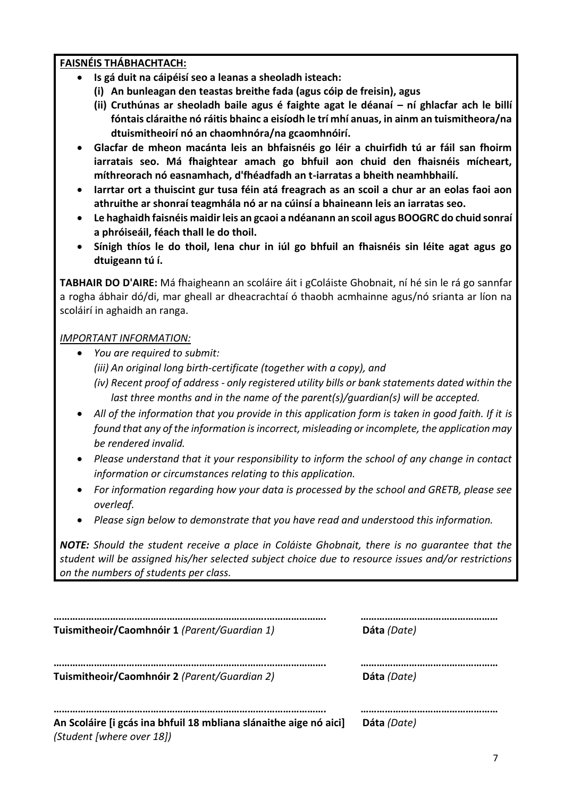#### **FAISNÉIS THÁBHACHTACH:**

- **Is gá duit na cáipéisí seo a leanas a sheoladh isteach:**
	- **(i) An bunleagan den teastas breithe fada (agus cóip de freisin), agus**
	- **(ii) Cruthúnas ar sheoladh baile agus é faighte agat le déanaí – ní ghlacfar ach le billí fóntais cláraithe nó ráitis bhainc a eisíodh le trí mhí anuas, in ainm an tuismitheora/na dtuismitheoirí nó an chaomhnóra/na gcaomhnóirí.**
- **Glacfar de mheon macánta leis an bhfaisnéis go léir a chuirfidh tú ar fáil san fhoirm iarratais seo. Má fhaightear amach go bhfuil aon chuid den fhaisnéis mícheart, míthreorach nó easnamhach, d'fhéadfadh an t-iarratas a bheith neamhbhailí.**
- **Iarrtar ort a thuiscint gur tusa féin atá freagrach as an scoil a chur ar an eolas faoi aon athruithe ar shonraí teagmhála nó ar na cúinsí a bhaineann leis an iarratas seo.**
- **Le haghaidh faisnéis maidir leis an gcaoi a ndéanann an scoil agus BOOGRC do chuid sonraí a phróiseáil, féach thall le do thoil.**
- **Sínigh thíos le do thoil, lena chur in iúl go bhfuil an fhaisnéis sin léite agat agus go dtuigeann tú í.**

**TABHAIR DO D'AIRE:** Má fhaigheann an scoláire áit i gColáiste Ghobnait, ní hé sin le rá go sannfar a rogha ábhair dó/di, mar gheall ar dheacrachtaí ó thaobh acmhainne agus/nó srianta ar líon na scoláirí in aghaidh an ranga.

## *IMPORTANT INFORMATION:*

- *You are required to submit: (iii) An original long birth-certificate (together with a copy), and (iv) Recent proof of address - only registered utility bills or bank statements dated within the last three months and in the name of the parent(s)/guardian(s) will be accepted.*
- *All of the information that you provide in this application form is taken in good faith. If it is found that any of the information is incorrect, misleading or incomplete, the application may be rendered invalid.*
- *Please understand that it your responsibility to inform the school of any change in contact information or circumstances relating to this application.*
- *For information regarding how your data is processed by the school and GRETB, please see overleaf.*
- *Please sign below to demonstrate that you have read and understood this information.*

*NOTE: Should the student receive a place in Coláiste Ghobnait, there is no guarantee that the student will be assigned his/her selected subject choice due to resource issues and/or restrictions on the numbers of students per class.*

| Tuismitheoir/Caomhnóir 1 (Parent/Guardian 1)                                                   | Dáta (Date) |
|------------------------------------------------------------------------------------------------|-------------|
| Tuismitheoir/Caomhnóir 2 (Parent/Guardian 2)                                                   | Dáta (Date) |
| An Scoláire [i gcás ina bhfuil 18 mbliana slánaithe aige nó aici]<br>(Student [where over 18]) | Dáta (Date) |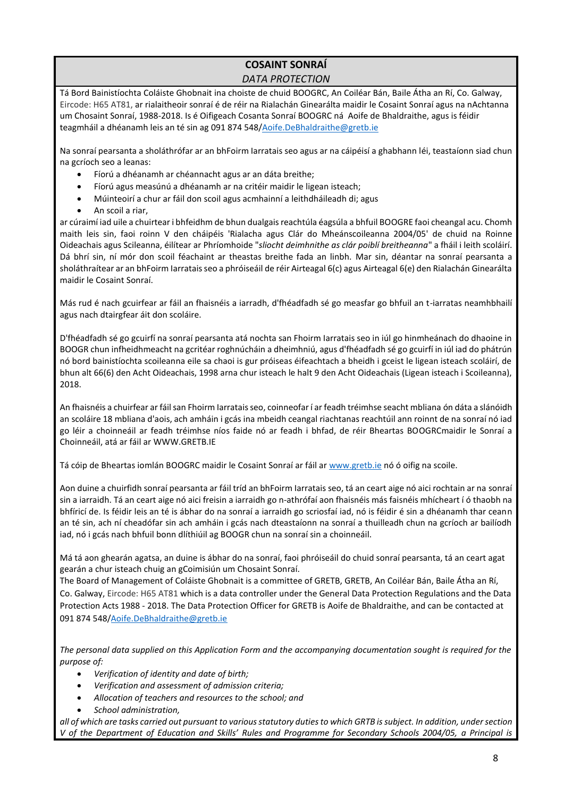# **COSAINT SONRAÍ**

#### *DATA PROTECTION*

Tá Bord Bainistíochta Coláiste Ghobnait ina choiste de chuid BOOGRC, An Coiléar Bán, Baile Átha an Rí, Co. Galway, Eircode: H65 AT81, ar rialaitheoir sonraí é de réir na Rialachán Ginearálta maidir le Cosaint Sonraí agus na nAchtanna um Chosaint Sonraí, 1988-2018. Is é Oifigeach Cosanta Sonraí BOOGRC ná Aoife de Bhaldraithe, agus is féidir teagmháil a dhéanamh leis an té sin ag 091 874 548[/Aoife.DeBhaldraithe@gretb.ie](mailto:Aoife.DeBhaldraithe@gretb.ie)

Na sonraí pearsanta a sholáthrófar ar an bhFoirm Iarratais seo agus ar na cáipéisí a ghabhann léi, teastaíonn siad chun na gcríoch seo a leanas:

- Fíorú a dhéanamh ar chéannacht agus ar an dáta breithe;
- Fíorú agus measúnú a dhéanamh ar na critéir maidir le ligean isteach;
- Múinteoirí a chur ar fáil don scoil agus acmhainní a leithdháileadh di; agus
- An scoil a riar,

ar cúraimí iad uile a chuirtear i bhfeidhm de bhun dualgais reachtúla éagsúla a bhfuil BOOGRE faoi cheangal acu. Chomh maith leis sin, faoi roinn V den cháipéis 'Rialacha agus Clár do Mheánscoileanna 2004/05' de chuid na Roinne Oideachais agus Scileanna, éilítear ar Phríomhoide "*sliocht deimhnithe as clár poiblí breitheanna*" a fháil i leith scoláirí. Dá bhrí sin, ní mór don scoil féachaint ar theastas breithe fada an linbh. Mar sin, déantar na sonraí pearsanta a sholáthraítear ar an bhFoirm Iarratais seo a phróiseáil de réir Airteagal 6(c) agus Airteagal 6(e) den Rialachán Ginearálta maidir le Cosaint Sonraí.

Más rud é nach gcuirfear ar fáil an fhaisnéis a iarradh, d'fhéadfadh sé go measfar go bhfuil an t-iarratas neamhbhailí agus nach dtairgfear áit don scoláire.

D'fhéadfadh sé go gcuirfí na sonraí pearsanta atá nochta san Fhoirm Iarratais seo in iúl go hinmheánach do dhaoine in BOOGR chun infheidhmeacht na gcritéar roghnúcháin a dheimhniú, agus d'fhéadfadh sé go gcuirfí in iúl iad do phátrún nó bord bainistíochta scoileanna eile sa chaoi is gur próiseas éifeachtach a bheidh i gceist le ligean isteach scoláirí, de bhun alt 66(6) den Acht Oideachais, 1998 arna chur isteach le halt 9 den Acht Oideachais (Ligean isteach i Scoileanna), 2018.

An fhaisnéis a chuirfear ar fáil san Fhoirm Iarratais seo, coinneofar í ar feadh tréimhse seacht mbliana ón dáta a slánóidh an scoláire 18 mbliana d'aois, ach amháin i gcás ina mbeidh ceangal riachtanas reachtúil ann roinnt de na sonraí nó iad go léir a choinneáil ar feadh tréimhse níos faide nó ar feadh i bhfad, de réir Bheartas BOOGRCmaidir le Sonraí a Choinneáil, atá ar fáil ar WWW.GRETB.IE

Tá cóip de Bheartas iomlán BOOGRC maidir le Cosaint Sonraí ar fáil a[r www.gretb.ie](http://www.gretb.ie/) nó ó oifig na scoile.

Aon duine a chuirfidh sonraí pearsanta ar fáil tríd an bhFoirm Iarratais seo, tá an ceart aige nó aici rochtain ar na sonraí sin a iarraidh. Tá an ceart aige nó aici freisin a iarraidh go n-athrófaí aon fhaisnéis más faisnéis mhícheart í ó thaobh na bhfíricí de. Is féidir leis an té is ábhar do na sonraí a iarraidh go scriosfaí iad, nó is féidir é sin a dhéanamh thar ceann an té sin, ach ní cheadófar sin ach amháin i gcás nach dteastaíonn na sonraí a thuilleadh chun na gcríoch ar bailíodh iad, nó i gcás nach bhfuil bonn dlíthiúil ag BOOGR chun na sonraí sin a choinneáil.

Má tá aon ghearán agatsa, an duine is ábhar do na sonraí, faoi phróiseáil do chuid sonraí pearsanta, tá an ceart agat gearán a chur isteach chuig an gCoimisiún um Chosaint Sonraí.

The Board of Management of Coláiste Ghobnait is a committee of GRETB, GRETB, An Coiléar Bán, Baile Átha an Rí, Co. Galway, Eircode: H65 AT81 which is a data controller under the General Data Protection Regulations and the Data Protection Acts 1988 - 2018. The Data Protection Officer for GRETB is Aoife de Bhaldraithe, and can be contacted at 091 874 548[/Aoife.DeBhaldraithe@gretb.ie](mailto:Aoife.DeBhaldraithe@gretb.ie)

*The personal data supplied on this Application Form and the accompanying documentation sought is required for the purpose of:*

- *Verification of identity and date of birth;*
- *Verification and assessment of admission criteria;*
- *Allocation of teachers and resources to the school; and*
- *School administration,*

*all of which are tasks carried out pursuant to various statutory duties to which GRTB is subject. In addition, under section V of the Department of Education and Skills' Rules and Programme for Secondary Schools 2004/05, a Principal is*